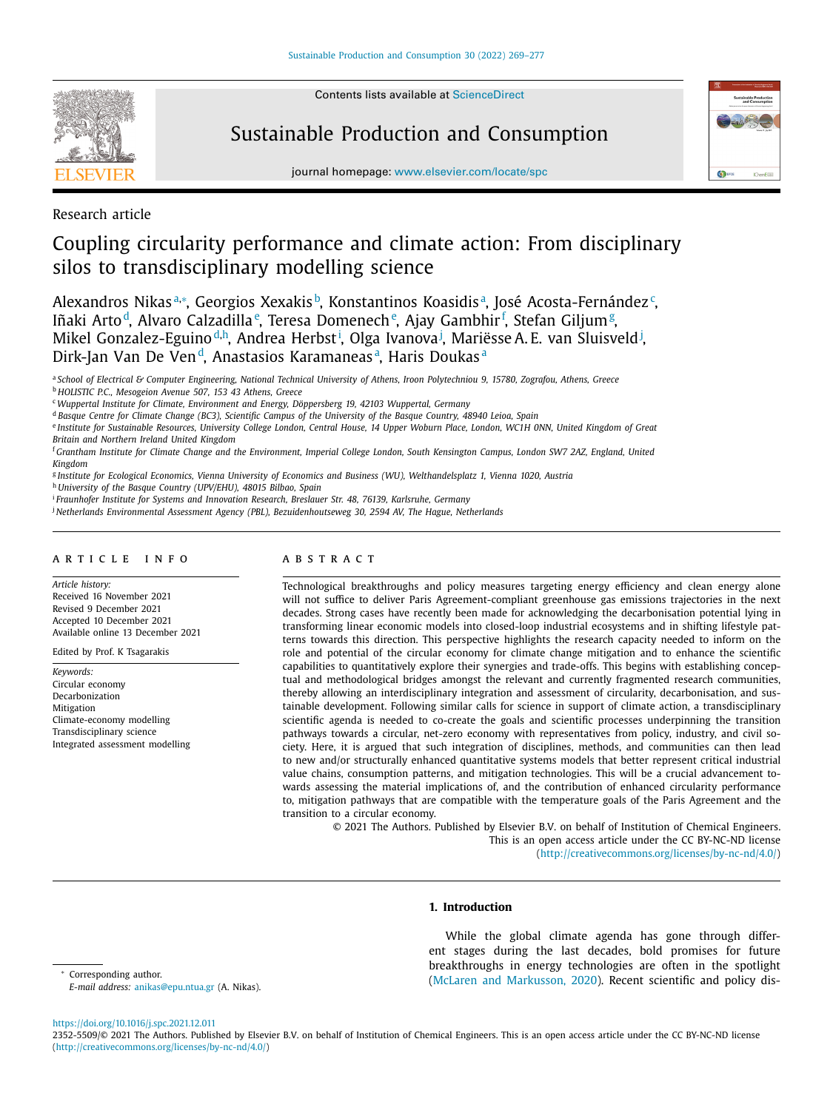

Contents lists available at [ScienceDirect](http://www.ScienceDirect.com)

## Sustainable Production and Consumption



journal homepage: [www.elsevier.com/locate/spc](http://www.elsevier.com/locate/spc)

Research article

# Coupling circularity performance and climate action: From disciplinary silos to transdisciplinary modelling science

Alexandros Nikasª.\*, Georgios Xexakisb, Konstantinos Koasidisª, José Acosta-Fernández<sup>.</sup>, Iñaki Arto<sup>d</sup>, Alvaro Calzadilla<sup>e</sup>, Teresa Domenech<sup>e</sup>, Ajay Gambhir<sup>f</sup>, Stefan Giljum<sup>g</sup>, Mikel Gonzalez-Eguino<sup>d,h</sup>, Andrea Herbst<sup>i</sup>, Olga Ivanova<sup>j</sup>, Mariësse A.E. van Sluisveld<sup>j</sup>, Dirk-Jan Van De Ven<sup>d</sup>, Anastasios Karamaneas<sup>a</sup>, Haris Doukas<sup>a</sup>

a School of Electrical & Computer Engineering, National Technical University of Athens, Iroon Polytechniou 9, 15780, Zografou, Athens, Greece <sup>b</sup> *HOLISTIC P.C., Mesogeion Avenue 507, 153 43 Athens, Greece*

<sup>c</sup> *Wuppertal Institute for Climate, Environment and Energy, Döppersberg 19, 42103 Wuppertal, Germany*

<sup>d</sup> Basque Centre for Climate Change (BC3), Scientific Campus of the University of the Basque Country, 48940 Leioa, Spain

e Institute for Sustainable Resources, University College London, Central House, 14 Upper Woburn Place, London, WC1H ONN, United Kingdom of Great

*Britain and Northern Ireland United Kingdom*

<sup>f</sup> Grantham Institute for Climate Change and the Environment. Imperial College London, South Kensington Campus, London SW7 2AZ, England, United *Kingdom*

<sup>g</sup> Institute for Ecological Economics, Vienna University of Economics and Business (WU), Welthandelsplatz 1, Vienna 1020, Austria

<sup>h</sup> *University of the Basque Country (UPV/EHU), 48015 Bilbao, Spain*

<sup>i</sup> *Fraunhofer Institute for Systems and Innovation Research, Breslauer Str. 48, 76139, Karlsruhe, Germany*

<sup>j</sup> *Netherlands Environmental Assessment Agency (PBL), Bezuidenhoutseweg 30, 2594 AV, The Hague, Netherlands*

## a r t i c l e i n f o

*Article history:* Received 16 November 2021 Revised 9 December 2021 Accepted 10 December 2021 Available online 13 December 2021

Edited by Prof. K Tsagarakis

*Keywords:* Circular economy **Decarbonization** Mitigation Climate-economy modelling Transdisciplinary science Integrated assessment modelling

## A B S T R A C T

Technological breakthroughs and policy measures targeting energy efficiency and clean energy alone will not suffice to deliver Paris Agreement-compliant greenhouse gas emissions trajectories in the next decades. Strong cases have recently been made for acknowledging the decarbonisation potential lying in transforming linear economic models into closed-loop industrial ecosystems and in shifting lifestyle patterns towards this direction. This perspective highlights the research capacity needed to inform on the role and potential of the circular economy for climate change mitigation and to enhance the scientific capabilities to quantitatively explore their synergies and trade-offs. This begins with establishing conceptual and methodological bridges amongst the relevant and currently fragmented research communities, thereby allowing an interdisciplinary integration and assessment of circularity, decarbonisation, and sustainable development. Following similar calls for science in support of climate action, a transdisciplinary scientific agenda is needed to co-create the goals and scientific processes underpinning the transition pathways towards a circular, net-zero economy with representatives from policy, industry, and civil society. Here, it is argued that such integration of disciplines, methods, and communities can then lead to new and/or structurally enhanced quantitative systems models that better represent critical industrial value chains, consumption patterns, and mitigation technologies. This will be a crucial advancement towards assessing the material implications of, and the contribution of enhanced circularity performance to, mitigation pathways that are compatible with the temperature goals of the Paris Agreement and the transition to a circular economy.

© 2021 The Authors. Published by Elsevier B.V. on behalf of Institution of Chemical Engineers. This is an open access article under the CC BY-NC-ND license [\(http://creativecommons.org/licenses/by-nc-nd/4.0/\)](http://creativecommons.org/licenses/by-nc-nd/4.0/)

## **1. Introduction**

Corresponding author.

*E-mail address:* [anikas@epu.ntua.gr](mailto:anikas@epu.ntua.gr) (A. Nikas).

While the global climate agenda has gone through different stages during the last decades, bold promises for future breakthroughs in energy technologies are often in the spotlight (McLaren and [Markusson,](#page-7-0) 2020). Recent scientific and policy dis-

### <https://doi.org/10.1016/j.spc.2021.12.011>

<sup>2352-5509/© 2021</sup> The Authors. Published by Elsevier B.V. on behalf of Institution of Chemical Engineers. This is an open access article under the CC BY-NC-ND license [\(http://creativecommons.org/licenses/by-nc-nd/4.0/\)](http://creativecommons.org/licenses/by-nc-nd/4.0/)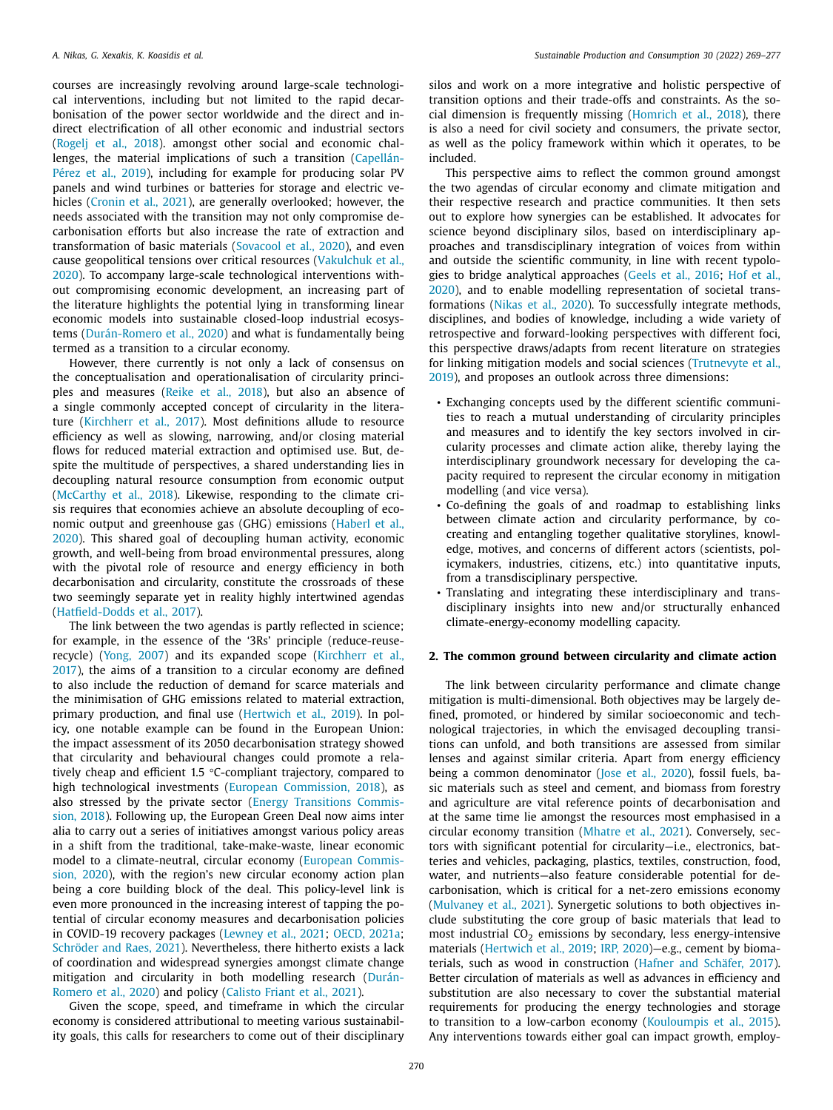courses are increasingly revolving around large-scale technological interventions, including but not limited to the rapid decarbonisation of the power sector worldwide and the direct and indirect electrification of all other economic and industrial sectors [\(Rogelj](#page-7-0) et al., 2018). amongst other social and economic challenges, the material [implications](#page-6-0) of such a transition (Capellán-Pérez et al., 2019), including for example for producing solar PV panels and wind turbines or batteries for storage and electric vehicles [\(Cronin](#page-6-0) et al., 2021), are generally overlooked; however, the needs associated with the transition may not only compromise decarbonisation efforts but also increase the rate of extraction and transformation of basic materials [\(Sovacool](#page-8-0) et al., 2020), and even cause geopolitical tensions over critical resources (Vakulchuk et al., 2020). To accompany large-scale technological [interventions](#page-8-0) without compromising economic development, an increasing part of the literature highlights the potential lying in transforming linear economic models into sustainable closed-loop industrial ecosystems [\(Durán-Romero](#page-6-0) et al., 2020) and what is fundamentally being termed as a transition to a circular economy.

However, there currently is not only a lack of consensus on the conceptualisation and operationalisation of circularity principles and measures [\(Reike](#page-7-0) et al., 2018), but also an absence of a single commonly accepted concept of circularity in the literature [\(Kirchherr](#page-7-0) et al., 2017). Most definitions allude to resource efficiency as well as slowing, narrowing, and/or closing material flows for reduced material extraction and optimised use. But, despite the multitude of perspectives, a shared understanding lies in decoupling natural resource consumption from economic output [\(McCarthy](#page-7-0) et al., 2018). Likewise, responding to the climate crisis requires that economies achieve an absolute decoupling of economic output and [greenhouse](#page-6-0) gas (GHG) emissions (Haberl et al., 2020). This shared goal of decoupling human activity, economic growth, and well-being from broad environmental pressures, along with the pivotal role of resource and energy efficiency in both decarbonisation and circularity, constitute the crossroads of these two seemingly separate yet in reality highly intertwined agendas [\(Hatfield-Dodds](#page-6-0) et al., 2017).

The link between the two agendas is partly reflected in science; for example, in the essence of the '3Rs' principle (reduce-reuserecycle) [\(Yong,](#page-8-0) 2007) and its expanded scope [\(Kirchherr](#page-7-0) et al., 2017), the aims of a transition to a circular economy are defined to also include the reduction of demand for scarce materials and the minimisation of GHG emissions related to material extraction, primary production, and final use [\(Hertwich](#page-6-0) et al., 2019). In policy, one notable example can be found in the European Union: the impact assessment of its 2050 decarbonisation strategy showed that circularity and behavioural changes could promote a relatively cheap and efficient 1.5 °C-compliant trajectory, compared to high technological investments (European [Commission,](#page-6-0) 2018), as also stressed by the private sector (Energy [Transitions](#page-6-0) Commission, 2018). Following up, the European Green Deal now aims inter alia to carry out a series of initiatives amongst various policy areas in a shift from the traditional, take-make-waste, linear economic model to a [climate-neutral,](#page-6-0) circular economy (European Commission, 2020), with the region's new circular economy action plan being a core building block of the deal. This policy-level link is even more pronounced in the increasing interest of tapping the potential of circular economy measures and decarbonisation policies in COVID-19 recovery packages [\(Lewney](#page-7-0) et al., 2021; OECD, [2021a;](#page-7-0) [Schröder](#page-8-0) and Raes, 2021). Nevertheless, there hitherto exists a lack of coordination and widespread synergies amongst climate change [mitigation](#page-6-0) and circularity in both modelling research (Durán-Romero et al., 2020) and policy [\(Calisto](#page-6-0) Friant et al., 2021).

Given the scope, speed, and timeframe in which the circular economy is considered attributional to meeting various sustainability goals, this calls for researchers to come out of their disciplinary silos and work on a more integrative and holistic perspective of transition options and their trade-offs and constraints. As the social dimension is frequently missing [\(Homrich](#page-6-0) et al., 2018), there is also a need for civil society and consumers, the private sector, as well as the policy framework within which it operates, to be included.

This perspective aims to reflect the common ground amongst the two agendas of circular economy and climate mitigation and their respective research and practice communities. It then sets out to explore how synergies can be established. It advocates for science beyond disciplinary silos, based on interdisciplinary approaches and transdisciplinary integration of voices from within and outside the scientific community, in line with recent typologies to bridge analytical approaches [\(Geels](#page-6-0) et al., 2016; Hof et al., 2020), and to enable modelling [representation](#page-6-0) of societal transformations [\(Nikas](#page-7-0) et al., 2020). To successfully integrate methods, disciplines, and bodies of knowledge, including a wide variety of retrospective and forward-looking perspectives with different foci, this perspective draws/adapts from recent literature on strategies for linking mitigation models and social sciences (Trutnevyte et al., 2019), and proposes an outlook across three [dimensions:](#page-8-0)

- Exchanging concepts used by the different scientific communities to reach a mutual understanding of circularity principles and measures and to identify the key sectors involved in circularity processes and climate action alike, thereby laying the interdisciplinary groundwork necessary for developing the capacity required to represent the circular economy in mitigation modelling (and vice versa).
- Co-defining the goals of and roadmap to establishing links between climate action and circularity performance, by cocreating and entangling together qualitative storylines, knowledge, motives, and concerns of different actors (scientists, policymakers, industries, citizens, etc.) into quantitative inputs, from a transdisciplinary perspective.
- Translating and integrating these interdisciplinary and transdisciplinary insights into new and/or structurally enhanced climate-energy-economy modelling capacity.

### **2. The common ground between circularity and climate action**

The link between circularity performance and climate change mitigation is multi-dimensional. Both objectives may be largely defined, promoted, or hindered by similar socioeconomic and technological trajectories, in which the envisaged decoupling transitions can unfold, and both transitions are assessed from similar lenses and against similar criteria. Apart from energy efficiency being a common denominator (Jose et al., [2020\)](#page-7-0), fossil fuels, basic materials such as steel and cement, and biomass from forestry and agriculture are vital reference points of decarbonisation and at the same time lie amongst the resources most emphasised in a circular economy transition [\(Mhatre](#page-7-0) et al., 2021). Conversely, sectors with significant potential for circularity—i.e., electronics, batteries and vehicles, packaging, plastics, textiles, construction, food, water, and nutrients—also feature considerable potential for decarbonisation, which is critical for a net-zero emissions economy [\(Mulvaney](#page-7-0) et al., 2021). Synergetic solutions to both objectives include substituting the core group of basic materials that lead to most industrial  $CO<sub>2</sub>$  emissions by secondary, less energy-intensive materials [\(Hertwich](#page-6-0) et al., 2019; IRP, [2020\)](#page-7-0)—e.g., cement by biomaterials, such as wood in construction (Hafner and [Schäfer,](#page-6-0) 2017). Better circulation of materials as well as advances in efficiency and substitution are also necessary to cover the substantial material requirements for producing the energy technologies and storage to transition to a low-carbon economy [\(Kouloumpis](#page-7-0) et al., 2015). Any interventions towards either goal can impact growth, employ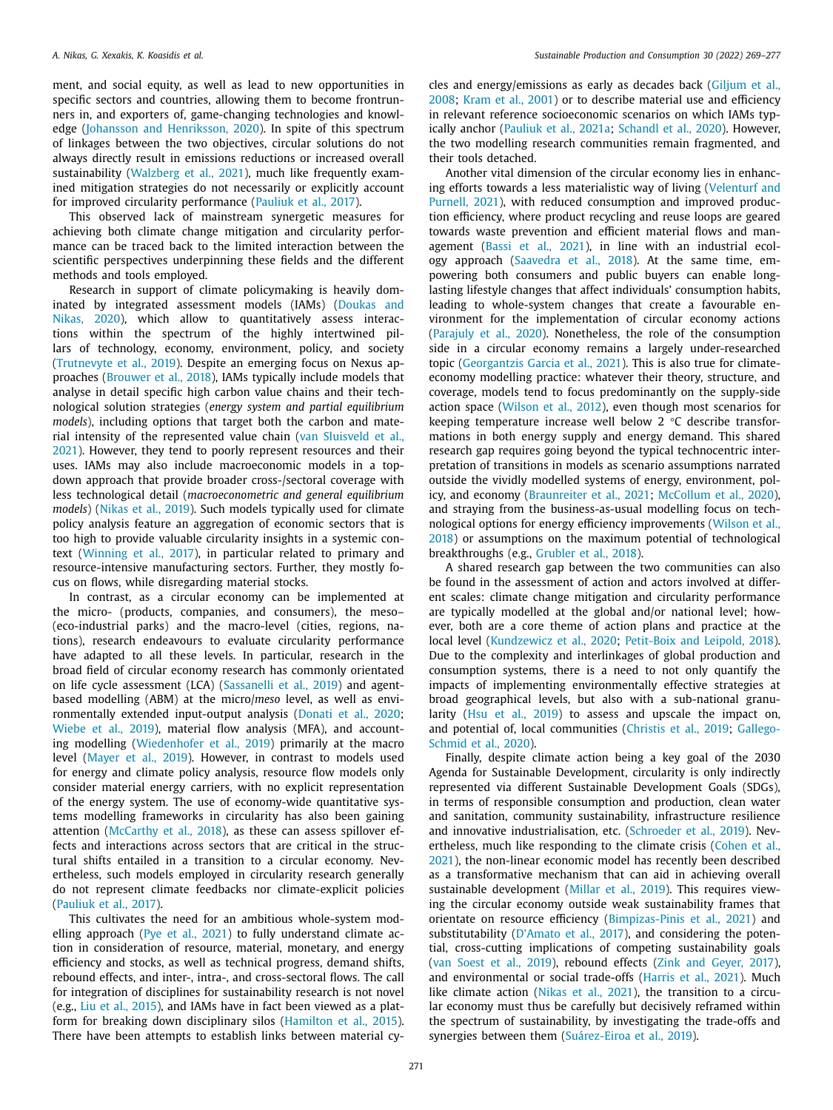ment, and social equity, as well as lead to new opportunities in specific sectors and countries, allowing them to become frontrunners in, and exporters of, game-changing technologies and knowledge (Johansson and [Henriksson,](#page-7-0) 2020). In spite of this spectrum of linkages between the two objectives, circular solutions do not always directly result in emissions reductions or increased overall sustainability [\(Walzberg](#page-8-0) et al., 2021), much like frequently examined mitigation strategies do not necessarily or explicitly account for improved circularity performance [\(Pauliuk](#page-7-0) et al., 2017).

This observed lack of mainstream synergetic measures for achieving both climate change mitigation and circularity performance can be traced back to the limited interaction between the scientific perspectives underpinning these fields and the different methods and tools employed.

Research in support of climate policymaking is heavily dominated by integrated assessment models (IAMs) (Doukas and Nikas, 2020), which allow to [quantitatively](#page-6-0) assess interactions within the spectrum of the highly intertwined pillars of technology, economy, environment, policy, and society [\(Trutnevyte](#page-8-0) et al., 2019). Despite an emerging focus on Nexus approaches [\(Brouwer](#page-6-0) et al., 2018), IAMs typically include models that analyse in detail specific high carbon value chains and their technological solution strategies (*energy system and partial equilibrium models*), including options that target both the carbon and material intensity of the [represented](#page-8-0) value chain (van Sluisveld et al., 2021). However, they tend to poorly represent resources and their uses. IAMs may also include macroeconomic models in a topdown approach that provide broader cross-/sectoral coverage with less technological detail (*macroeconometric and general equilibrium models*) [\(Nikas](#page-7-0) et al., 2019). Such models typically used for climate policy analysis feature an aggregation of economic sectors that is too high to provide valuable circularity insights in a systemic context [\(Winning](#page-8-0) et al., 2017), in particular related to primary and resource-intensive manufacturing sectors. Further, they mostly focus on flows, while disregarding material stocks.

In contrast, as a circular economy can be implemented at the micro- (products, companies, and consumers), the meso– (eco-industrial parks) and the macro-level (cities, regions, nations), research endeavours to evaluate circularity performance have adapted to all these levels. In particular, research in the broad field of circular economy research has commonly orientated on life cycle assessment (LCA) [\(Sassanelli](#page-8-0) et al., 2019) and agentbased modelling (ABM) at the micro/*meso* level, as well as environmentally extended input-output analysis [\(Donati](#page-6-0) et al., 2020; [Wiebe](#page-8-0) et al., 2019), material flow analysis (MFA), and accounting modelling [\(Wiedenhofer](#page-8-0) et al., 2019) primarily at the macro level [\(Mayer](#page-7-0) et al., 2019). However, in contrast to models used for energy and climate policy analysis, resource flow models only consider material energy carriers, with no explicit representation of the energy system. The use of economy-wide quantitative systems modelling frameworks in circularity has also been gaining attention [\(McCarthy](#page-7-0) et al., 2018), as these can assess spillover effects and interactions across sectors that are critical in the structural shifts entailed in a transition to a circular economy. Nevertheless, such models employed in circularity research generally do not represent climate feedbacks nor climate-explicit policies [\(Pauliuk](#page-7-0) et al., 2017).

This cultivates the need for an ambitious whole-system modelling approach (Pye et al., [2021\)](#page-7-0) to fully understand climate action in consideration of resource, material, monetary, and energy efficiency and stocks, as well as technical progress, demand shifts, rebound effects, and inter-, intra-, and cross-sectoral flows. The call for integration of disciplines for sustainability research is not novel (e.g., Liu et al., [2015\)](#page-7-0), and IAMs have in fact been viewed as a platform for breaking down disciplinary silos [\(Hamilton](#page-6-0) et al., 2015). There have been attempts to establish links between material cycles and [energy/emissions](#page-6-0) as early as decades back (Giljum et al., 2008; [Kram](#page-7-0) et al., 2001) or to describe material use and efficiency in relevant reference socioeconomic scenarios on which IAMs typically anchor [\(Pauliuk](#page-7-0) et al., 2021a; [Schandl](#page-8-0) et al., 2020). However, the two modelling research communities remain fragmented, and their tools detached.

Another vital dimension of the circular economy lies in enhancing efforts towards a less materialistic way of living (Velenturf and Purnell, 2021), with reduced [consumption](#page-8-0) and improved production efficiency, where product recycling and reuse loops are geared towards waste prevention and efficient material flows and management [\(Bassi](#page-6-0) et al., 2021), in line with an industrial ecology approach [\(Saavedra](#page-8-0) et al., 2018). At the same time, empowering both consumers and public buyers can enable longlasting lifestyle changes that affect individuals' consumption habits, leading to whole-system changes that create a favourable environment for the implementation of circular economy actions [\(Parajuly](#page-7-0) et al., 2020). Nonetheless, the role of the consumption side in a circular economy remains a largely under-researched topic [\(Georgantzis](#page-6-0) Garcia et al., 2021). This is also true for climateeconomy modelling practice: whatever their theory, structure, and coverage, models tend to focus predominantly on the supply-side action space [\(Wilson](#page-8-0) et al., 2012), even though most scenarios for keeping temperature increase well below 2 °C describe transformations in both energy supply and energy demand. This shared research gap requires going beyond the typical technocentric interpretation of transitions in models as scenario assumptions narrated outside the vividly modelled systems of energy, environment, policy, and economy [\(Braunreiter](#page-6-0) et al., 2021; [McCollum](#page-7-0) et al., 2020), and straying from the business-as-usual modelling focus on technological options for energy efficiency [improvements](#page-8-0) (Wilson et al., 2018) or assumptions on the maximum potential of technological breakthroughs (e.g., [Grubler](#page-6-0) et al., 2018).

A shared research gap between the two communities can also be found in the assessment of action and actors involved at different scales: climate change mitigation and circularity performance are typically modelled at the global and/or national level; however, both are a core theme of action plans and practice at the local level [\(Kundzewicz](#page-7-0) et al., 2020; [Petit-Boix](#page-7-0) and Leipold, 2018). Due to the complexity and interlinkages of global production and consumption systems, there is a need to not only quantify the impacts of implementing environmentally effective strategies at broad geographical levels, but also with a sub-national granularity (Hsu et al., [2019\)](#page-6-0) to assess and upscale the impact on, and potential of, local [communities](#page-6-0) [\(Christis](#page-6-0) et al., 2019; Gallego-Schmid et al., 2020).

Finally, despite climate action being a key goal of the 2030 Agenda for Sustainable Development, circularity is only indirectly represented via different Sustainable Development Goals (SDGs), in terms of responsible consumption and production, clean water and sanitation, community sustainability, infrastructure resilience and innovative industrialisation, etc. [\(Schroeder](#page-8-0) et al., 2019). Nevertheless, much like [responding](#page-6-0) to the climate crisis (Cohen et al., 2021), the non-linear economic model has recently been described as a transformative mechanism that can aid in achieving overall sustainable development [\(Millar](#page-7-0) et al., 2019). This requires viewing the circular economy outside weak sustainability frames that orientate on resource efficiency [\(Bimpizas-Pinis](#page-6-0) et al., 2021) and substitutability [\(D'Amato](#page-6-0) et al., 2017), and considering the potential, cross-cutting implications of competing sustainability goals (van [Soest](#page-8-0) et al., 2019), rebound effects (Zink and [Geyer,](#page-8-0) 2017), and environmental or social trade-offs [\(Harris](#page-6-0) et al., 2021). Much like climate action [\(Nikas](#page-7-0) et al., 2021), the transition to a circular economy must thus be carefully but decisively reframed within the spectrum of sustainability, by investigating the trade-offs and synergies between them [\(Suárez-Eiroa](#page-8-0) et al., 2019).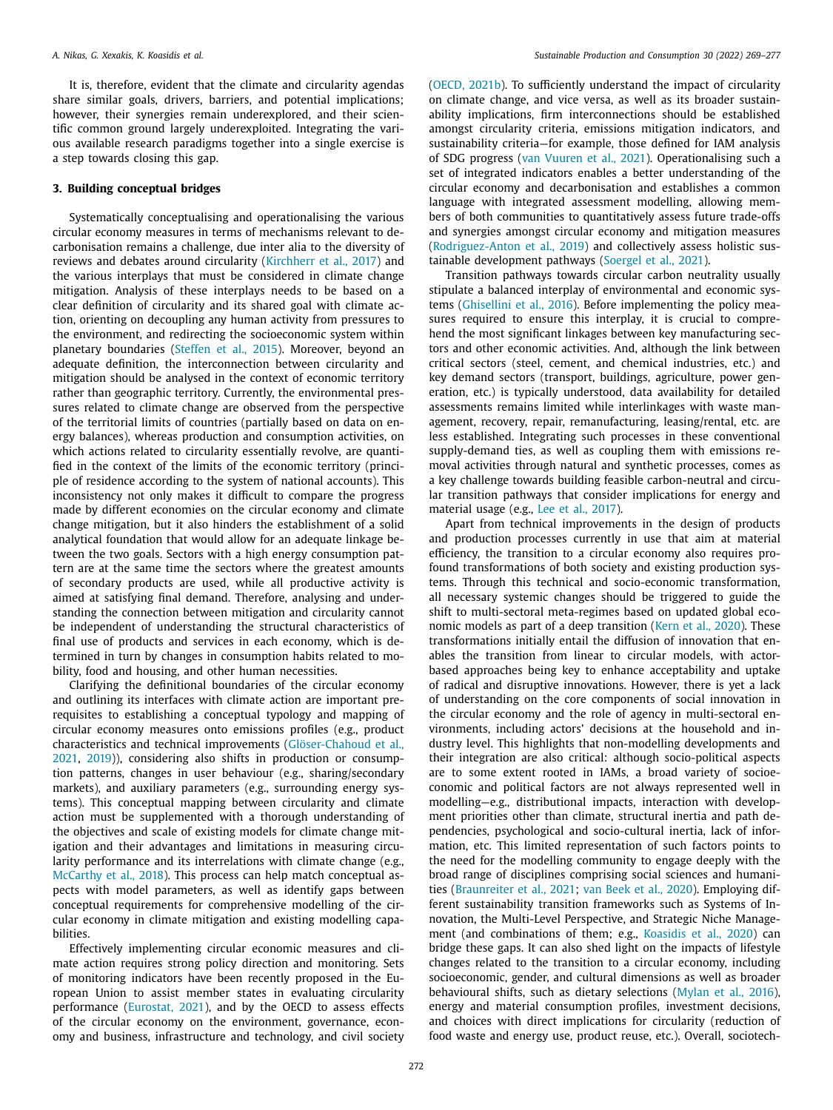It is, therefore, evident that the climate and circularity agendas share similar goals, drivers, barriers, and potential implications; however, their synergies remain underexplored, and their scientific common ground largely underexploited. Integrating the various available research paradigms together into a single exercise is a step towards closing this gap.

## **3. Building conceptual bridges**

Systematically conceptualising and operationalising the various circular economy measures in terms of mechanisms relevant to decarbonisation remains a challenge, due inter alia to the diversity of reviews and debates around circularity [\(Kirchherr](#page-7-0) et al., 2017) and the various interplays that must be considered in climate change mitigation. Analysis of these interplays needs to be based on a clear definition of circularity and its shared goal with climate action, orienting on decoupling any human activity from pressures to the environment, and redirecting the socioeconomic system within planetary boundaries [\(Steffen](#page-8-0) et al., 2015). Moreover, beyond an adequate definition, the interconnection between circularity and mitigation should be analysed in the context of economic territory rather than geographic territory. Currently, the environmental pressures related to climate change are observed from the perspective of the territorial limits of countries (partially based on data on energy balances), whereas production and consumption activities, on which actions related to circularity essentially revolve, are quantified in the context of the limits of the economic territory (principle of residence according to the system of national accounts). This inconsistency not only makes it difficult to compare the progress made by different economies on the circular economy and climate change mitigation, but it also hinders the establishment of a solid analytical foundation that would allow for an adequate linkage between the two goals. Sectors with a high energy consumption pattern are at the same time the sectors where the greatest amounts of secondary products are used, while all productive activity is aimed at satisfying final demand. Therefore, analysing and understanding the connection between mitigation and circularity cannot be independent of understanding the structural characteristics of final use of products and services in each economy, which is determined in turn by changes in consumption habits related to mobility, food and housing, and other human necessities.

Clarifying the definitional boundaries of the circular economy and outlining its interfaces with climate action are important prerequisites to establishing a conceptual typology and mapping of circular economy measures onto emissions profiles (e.g., product characteristics and technical improvements [\(Glöser-Chahoud](#page-6-0) et al., 2021, [2019\)](#page-6-0)), considering also shifts in production or consumption patterns, changes in user behaviour (e.g., sharing/secondary markets), and auxiliary parameters (e.g., surrounding energy systems). This conceptual mapping between circularity and climate action must be supplemented with a thorough understanding of the objectives and scale of existing models for climate change mitigation and their advantages and limitations in measuring circularity performance and its interrelations with climate change (e.g., [McCarthy](#page-7-0) et al., 2018). This process can help match conceptual aspects with model parameters, as well as identify gaps between conceptual requirements for comprehensive modelling of the circular economy in climate mitigation and existing modelling capabilities.

Effectively implementing circular economic measures and climate action requires strong policy direction and monitoring. Sets of monitoring indicators have been recently proposed in the European Union to assist member states in evaluating circularity performance [\(Eurostat,](#page-6-0) 2021), and by the OECD to assess effects of the circular economy on the environment, governance, economy and business, infrastructure and technology, and civil society

(OECD, [2021b\)](#page-7-0). To sufficiently understand the impact of circularity on climate change, and vice versa, as well as its broader sustainability implications, firm interconnections should be established amongst circularity criteria, emissions mitigation indicators, and sustainability criteria—for example, those defined for IAM analysis of SDG progress (van [Vuuren](#page-8-0) et al., 2021). Operationalising such a set of integrated indicators enables a better understanding of the circular economy and decarbonisation and establishes a common language with integrated assessment modelling, allowing members of both communities to quantitatively assess future trade-offs and synergies amongst circular economy and mitigation measures [\(Rodriguez-Anton](#page-7-0) et al., 2019) and collectively assess holistic sustainable development pathways [\(Soergel](#page-8-0) et al., 2021).

Transition pathways towards circular carbon neutrality usually stipulate a balanced interplay of environmental and economic systems [\(Ghisellini](#page-6-0) et al., 2016). Before implementing the policy measures required to ensure this interplay, it is crucial to comprehend the most significant linkages between key manufacturing sectors and other economic activities. And, although the link between critical sectors (steel, cement, and chemical industries, etc.) and key demand sectors (transport, buildings, agriculture, power generation, etc.) is typically understood, data availability for detailed assessments remains limited while interlinkages with waste management, recovery, repair, remanufacturing, leasing/rental, etc. are less established. Integrating such processes in these conventional supply-demand ties, as well as coupling them with emissions removal activities through natural and synthetic processes, comes as a key challenge towards building feasible carbon-neutral and circular transition pathways that consider implications for energy and material usage (e.g., Lee et al., [2017\)](#page-7-0).

Apart from technical improvements in the design of products and production processes currently in use that aim at material efficiency, the transition to a circular economy also requires profound transformations of both society and existing production systems. Through this technical and socio-economic transformation, all necessary systemic changes should be triggered to guide the shift to multi-sectoral meta-regimes based on updated global economic models as part of a deep transition (Kern et al., [2020\)](#page-7-0). These transformations initially entail the diffusion of innovation that enables the transition from linear to circular models, with actorbased approaches being key to enhance acceptability and uptake of radical and disruptive innovations. However, there is yet a lack of understanding on the core components of social innovation in the circular economy and the role of agency in multi-sectoral environments, including actors' decisions at the household and industry level. This highlights that non-modelling developments and their integration are also critical: although socio-political aspects are to some extent rooted in IAMs, a broad variety of socioeconomic and political factors are not always represented well in modelling—e.g., distributional impacts, interaction with development priorities other than climate, structural inertia and path dependencies, psychological and socio-cultural inertia, lack of information, etc. This limited representation of such factors points to the need for the modelling community to engage deeply with the broad range of disciplines comprising social sciences and humanities [\(Braunreiter](#page-6-0) et al., 2021; van Beek et al., [2020\)](#page-8-0). Employing different sustainability transition frameworks such as Systems of Innovation, the Multi-Level Perspective, and Strategic Niche Management (and combinations of them; e.g., [Koasidis](#page-7-0) et al., 2020) can bridge these gaps. It can also shed light on the impacts of lifestyle changes related to the transition to a circular economy, including socioeconomic, gender, and cultural dimensions as well as broader behavioural shifts, such as dietary selections [\(Mylan](#page-7-0) et al., 2016), energy and material consumption profiles, investment decisions, and choices with direct implications for circularity (reduction of food waste and energy use, product reuse, etc.). Overall, sociotech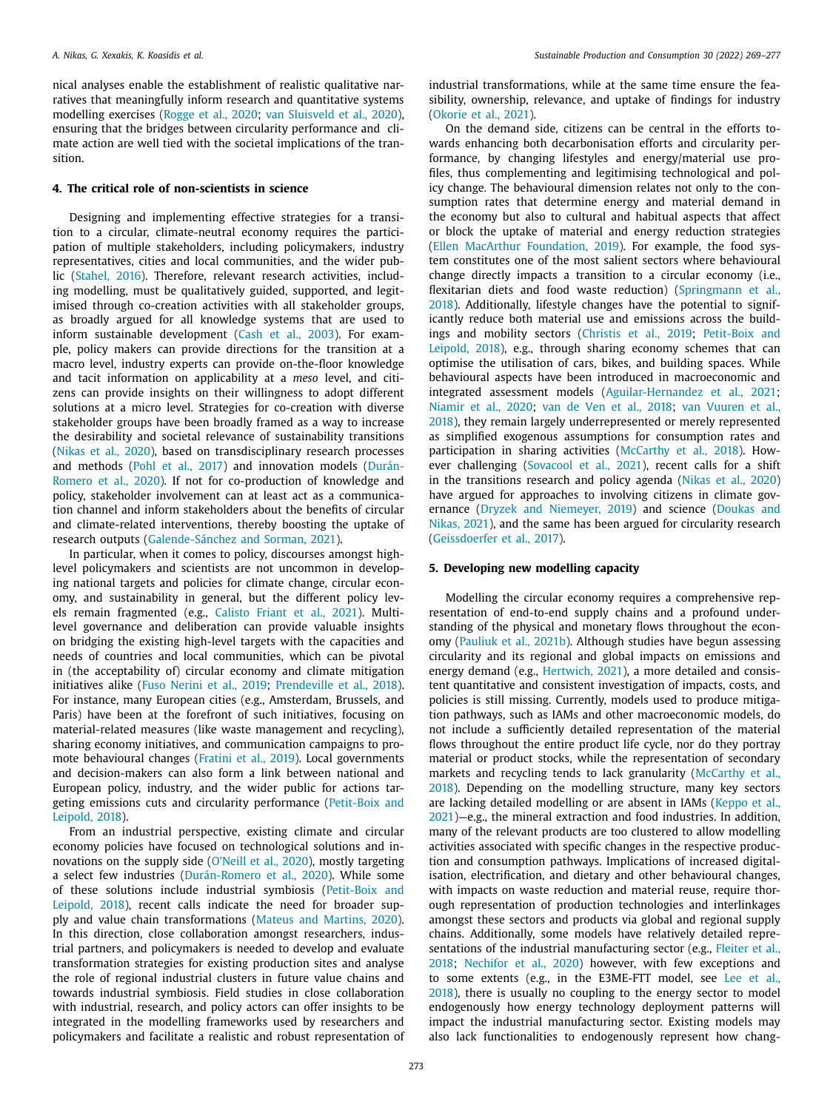nical analyses enable the establishment of realistic qualitative narratives that meaningfully inform research and quantitative systems modelling exercises [\(Rogge](#page-8-0) et al., 2020; van [Sluisveld](#page-8-0) et al., 2020), ensuring that the bridges between circularity performance and climate action are well tied with the societal implications of the transition.

## **4. The critical role of non-scientists in science**

Designing and implementing effective strategies for a transition to a circular, climate-neutral economy requires the participation of multiple stakeholders, including policymakers, industry representatives, cities and local communities, and the wider public [\(Stahel,](#page-8-0) 2016). Therefore, relevant research activities, including modelling, must be qualitatively guided, supported, and legitimised through co-creation activities with all stakeholder groups, as broadly argued for all knowledge systems that are used to inform sustainable development (Cash et al., [2003\)](#page-6-0). For example, policy makers can provide directions for the transition at a macro level, industry experts can provide on-the-floor knowledge and tacit information on applicability at a *meso* level, and citizens can provide insights on their willingness to adopt different solutions at a micro level. Strategies for co-creation with diverse stakeholder groups have been broadly framed as a way to increase the desirability and societal relevance of sustainability transitions [\(Nikas](#page-7-0) et al., 2020), based on transdisciplinary research processes and methods (Pohl et al., [2017\)](#page-7-0) and innovation models (Durán-Romero et al., 2020). If not for [co-production](#page-6-0) of knowledge and policy, stakeholder involvement can at least act as a communication channel and inform stakeholders about the benefits of circular and climate-related interventions, thereby boosting the uptake of research outputs [\(Galende-Sánchez](#page-6-0) and Sorman, 2021).

In particular, when it comes to policy, discourses amongst highlevel policymakers and scientists are not uncommon in developing national targets and policies for climate change, circular economy, and sustainability in general, but the different policy levels remain fragmented (e.g., [Calisto](#page-6-0) Friant et al., 2021). Multilevel governance and deliberation can provide valuable insights on bridging the existing high-level targets with the capacities and needs of countries and local communities, which can be pivotal in (the acceptability of) circular economy and climate mitigation initiatives alike (Fuso [Nerini](#page-6-0) et al., 2019; [Prendeville](#page-7-0) et al., 2018). For instance, many European cities (e.g., Amsterdam, Brussels, and Paris) have been at the forefront of such initiatives, focusing on material-related measures (like waste management and recycling), sharing economy initiatives, and communication campaigns to promote behavioural changes [\(Fratini](#page-6-0) et al., 2019). Local governments and decision-makers can also form a link between national and European policy, industry, and the wider public for actions targeting emissions cuts and circularity [performance](#page-7-0) (Petit-Boix and Leipold, 2018).

From an industrial perspective, existing climate and circular economy policies have focused on technological solutions and innovations on the supply side [\(O'Neill](#page-7-0) et al., 2020), mostly targeting a select few industries [\(Durán-Romero](#page-6-0) et al., 2020). While some of these solutions include industrial symbiosis [\(Petit-Boix](#page-7-0) and Leipold, 2018), recent calls indicate the need for broader supply and value chain transformations (Mateus and [Martins,](#page-7-0) 2020). In this direction, close collaboration amongst researchers, industrial partners, and policymakers is needed to develop and evaluate transformation strategies for existing production sites and analyse the role of regional industrial clusters in future value chains and towards industrial symbiosis. Field studies in close collaboration with industrial, research, and policy actors can offer insights to be integrated in the modelling frameworks used by researchers and policymakers and facilitate a realistic and robust representation of industrial transformations, while at the same time ensure the feasibility, ownership, relevance, and uptake of findings for industry [\(Okorie](#page-7-0) et al., 2021).

On the demand side, citizens can be central in the efforts towards enhancing both decarbonisation efforts and circularity performance, by changing lifestyles and energy/material use profiles, thus complementing and legitimising technological and policy change. The behavioural dimension relates not only to the consumption rates that determine energy and material demand in the economy but also to cultural and habitual aspects that affect or block the uptake of material and energy reduction strategies (Ellen MacArthur [Foundation,](#page-6-0) 2019). For example, the food system constitutes one of the most salient sectors where behavioural change directly impacts a transition to a circular economy (i.e., flexitarian diets and food waste reduction) [\(Springmann](#page-8-0) et al., 2018). Additionally, lifestyle changes have the potential to significantly reduce both material use and emissions across the buildings and mobility sectors [\(Christis](#page-6-0) et al., 2019; [Petit-Boix](#page-7-0) and Leipold, 2018), e.g., through sharing economy schemes that can optimise the utilisation of cars, bikes, and building spaces. While behavioural aspects have been introduced in macroeconomic and integrated assessment models [\(Aguilar-Hernandez](#page-6-0) et al., 2021; [Niamir](#page-7-0) et al., 2020; van de Ven et al., [2018;](#page-8-0) van Vuuren et al., 2018), they remain largely [underrepresented](#page-8-0) or merely represented as simplified exogenous assumptions for consumption rates and participation in sharing activities [\(McCarthy](#page-7-0) et al., 2018). However challenging [\(Sovacool](#page-8-0) et al., 2021), recent calls for a shift in the transitions research and policy agenda [\(Nikas](#page-7-0) et al., 2020) have argued for approaches to involving citizens in climate governance (Dryzek and [Niemeyer,](#page-6-0) 2019) and science (Doukas and Nikas, 2021), and the same has been argued for [circularity](#page-6-0) research [\(Geissdoerfer](#page-6-0) et al., 2017).

#### **5. Developing new modelling capacity**

Modelling the circular economy requires a comprehensive representation of end-to-end supply chains and a profound understanding of the physical and monetary flows throughout the economy [\(Pauliuk](#page-7-0) et al., 2021b). Although studies have begun assessing circularity and its regional and global impacts on emissions and energy demand (e.g., [Hertwich,](#page-6-0) 2021), a more detailed and consistent quantitative and consistent investigation of impacts, costs, and policies is still missing. Currently, models used to produce mitigation pathways, such as IAMs and other macroeconomic models, do not include a sufficiently detailed representation of the material flows throughout the entire product life cycle, nor do they portray material or product stocks, while the representation of secondary markets and recycling tends to lack [granularity](#page-7-0) (McCarthy et al., 2018). Depending on the modelling structure, many key sectors are lacking detailed modelling or are absent in IAMs (Keppo et al., [2021\)—e.g.,](#page-7-0) the mineral extraction and food industries. In addition, many of the relevant products are too clustered to allow modelling activities associated with specific changes in the respective production and consumption pathways. Implications of increased digitalisation, electrification, and dietary and other behavioural changes, with impacts on waste reduction and material reuse, require thorough representation of production technologies and interlinkages amongst these sectors and products via global and regional supply chains. Additionally, some models have relatively detailed representations of the industrial [manufacturing](#page-6-0) sector (e.g., Fleiter et al., 2018; [Nechifor](#page-7-0) et al., 2020) however, with few exceptions and to some extents (e.g., in the [E3ME-FTT](#page-7-0) model, see Lee et al., 2018), there is usually no coupling to the energy sector to model endogenously how energy technology deployment patterns will impact the industrial manufacturing sector. Existing models may also lack functionalities to endogenously represent how chang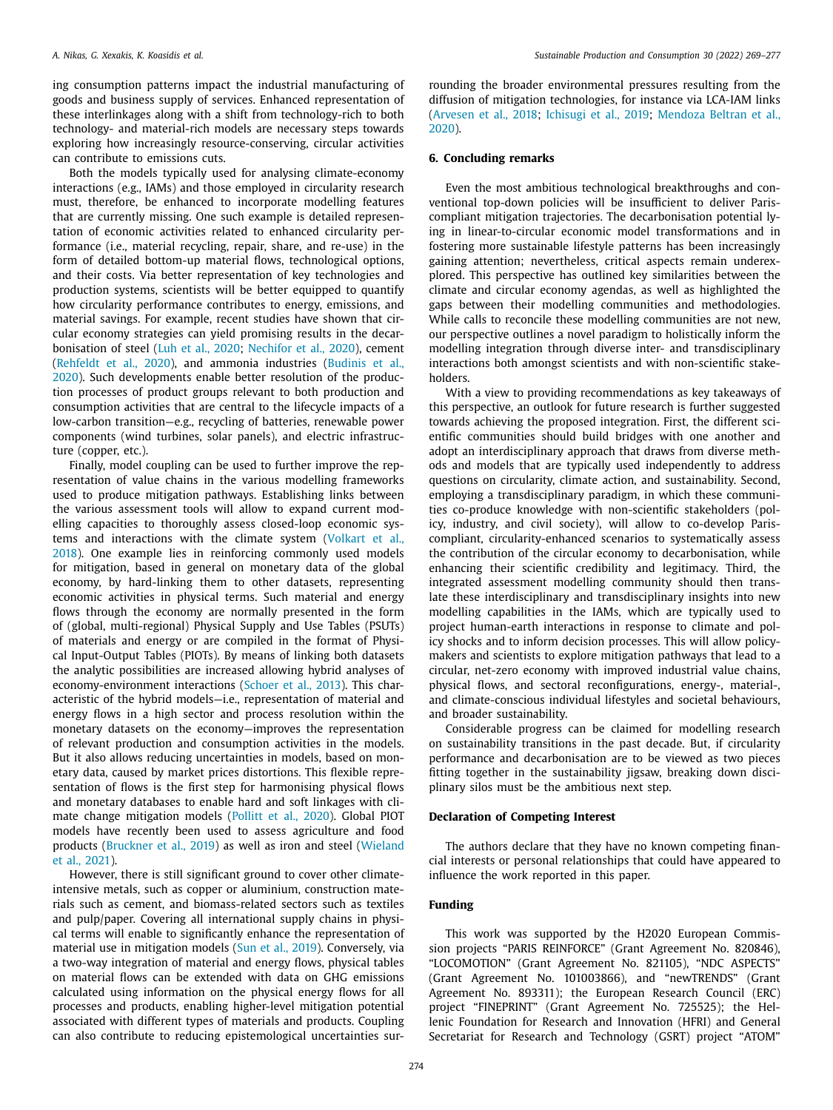ing consumption patterns impact the industrial manufacturing of goods and business supply of services. Enhanced representation of these interlinkages along with a shift from technology-rich to both technology- and material-rich models are necessary steps towards exploring how increasingly resource-conserving, circular activities can contribute to emissions cuts.

Both the models typically used for analysing climate-economy interactions (e.g., IAMs) and those employed in circularity research must, therefore, be enhanced to incorporate modelling features that are currently missing. One such example is detailed representation of economic activities related to enhanced circularity performance (i.e., material recycling, repair, share, and re-use) in the form of detailed bottom-up material flows, technological options, and their costs. Via better representation of key technologies and production systems, scientists will be better equipped to quantify how circularity performance contributes to energy, emissions, and material savings. For example, recent studies have shown that circular economy strategies can yield promising results in the decarbonisation of steel (Luh et al., [2020;](#page-7-0) [Nechifor](#page-7-0) et al., 2020), cement [\(Rehfeldt](#page-7-0) et al., 2020), and ammonia industries (Budinis et al., 2020). Such [developments](#page-6-0) enable better resolution of the production processes of product groups relevant to both production and consumption activities that are central to the lifecycle impacts of a low-carbon transition—e.g., recycling of batteries, renewable power components (wind turbines, solar panels), and electric infrastructure (copper, etc.).

Finally, model coupling can be used to further improve the representation of value chains in the various modelling frameworks used to produce mitigation pathways. Establishing links between the various assessment tools will allow to expand current modelling capacities to thoroughly assess closed-loop economic systems and [interactions](#page-8-0) with the climate system (Volkart et al., 2018). One example lies in reinforcing commonly used models for mitigation, based in general on monetary data of the global economy, by hard-linking them to other datasets, representing economic activities in physical terms. Such material and energy flows through the economy are normally presented in the form of (global, multi-regional) Physical Supply and Use Tables (PSUTs) of materials and energy or are compiled in the format of Physical Input-Output Tables (PIOTs). By means of linking both datasets the analytic possibilities are increased allowing hybrid analyses of economy-environment interactions [\(Schoer](#page-8-0) et al., 2013). This characteristic of the hybrid models—i.e., representation of material and energy flows in a high sector and process resolution within the monetary datasets on the economy—improves the representation of relevant production and consumption activities in the models. But it also allows reducing uncertainties in models, based on monetary data, caused by market prices distortions. This flexible representation of flows is the first step for harmonising physical flows and monetary databases to enable hard and soft linkages with climate change mitigation models [\(Pollitt](#page-7-0) et al., 2020). Global PIOT models have recently been used to assess agriculture and food products [\(](#page-8-0)[Bruckner](#page-6-0) et al., 2019) as well as iron and steel (Wieland et al., 2021).

However, there is still significant ground to cover other climateintensive metals, such as copper or aluminium, construction materials such as cement, and biomass-related sectors such as textiles and pulp/paper. Covering all international supply chains in physical terms will enable to significantly enhance the representation of material use in mitigation models (Sun et al., [2019\)](#page-8-0). Conversely, via a two-way integration of material and energy flows, physical tables on material flows can be extended with data on GHG emissions calculated using information on the physical energy flows for all processes and products, enabling higher-level mitigation potential associated with different types of materials and products. Coupling can also contribute to reducing epistemological uncertainties surrounding the broader environmental pressures resulting from the diffusion of mitigation technologies, for instance via LCA-IAM links [\(Arvesen](#page-6-0) et al., 2018; [Ichisugi](#page-7-0) et al., 2019; [Mendoza](#page-7-0) Beltran et al., 2020).

## **6. Concluding remarks**

Even the most ambitious technological breakthroughs and conventional top-down policies will be insufficient to deliver Pariscompliant mitigation trajectories. The decarbonisation potential lying in linear-to-circular economic model transformations and in fostering more sustainable lifestyle patterns has been increasingly gaining attention; nevertheless, critical aspects remain underexplored. This perspective has outlined key similarities between the climate and circular economy agendas, as well as highlighted the gaps between their modelling communities and methodologies. While calls to reconcile these modelling communities are not new, our perspective outlines a novel paradigm to holistically inform the modelling integration through diverse inter- and transdisciplinary interactions both amongst scientists and with non-scientific stakeholders.

With a view to providing recommendations as key takeaways of this perspective, an outlook for future research is further suggested towards achieving the proposed integration. First, the different scientific communities should build bridges with one another and adopt an interdisciplinary approach that draws from diverse methods and models that are typically used independently to address questions on circularity, climate action, and sustainability. Second, employing a transdisciplinary paradigm, in which these communities co-produce knowledge with non-scientific stakeholders (policy, industry, and civil society), will allow to co-develop Pariscompliant, circularity-enhanced scenarios to systematically assess the contribution of the circular economy to decarbonisation, while enhancing their scientific credibility and legitimacy. Third, the integrated assessment modelling community should then translate these interdisciplinary and transdisciplinary insights into new modelling capabilities in the IAMs, which are typically used to project human-earth interactions in response to climate and policy shocks and to inform decision processes. This will allow policymakers and scientists to explore mitigation pathways that lead to a circular, net-zero economy with improved industrial value chains, physical flows, and sectoral reconfigurations, energy-, material-, and climate-conscious individual lifestyles and societal behaviours, and broader sustainability.

Considerable progress can be claimed for modelling research on sustainability transitions in the past decade. But, if circularity performance and decarbonisation are to be viewed as two pieces fitting together in the sustainability jigsaw, breaking down disciplinary silos must be the ambitious next step.

## **Declaration of Competing Interest**

The authors declare that they have no known competing financial interests or personal relationships that could have appeared to influence the work reported in this paper.

## **Funding**

This work was supported by the H2020 European Commission projects "PARIS REINFORCE" (Grant Agreement No. 820846), "LOCOMOTION" (Grant Agreement No. 821105), "NDC ASPECTS" (Grant Agreement No. 101003866), and "newTRENDS" (Grant Agreement No. 893311); the European Research Council (ERC) project "FINEPRINT" (Grant Agreement No. 725525); the Hellenic Foundation for Research and Innovation (HFRI) and General Secretariat for Research and Technology (GSRT) project "ATOM"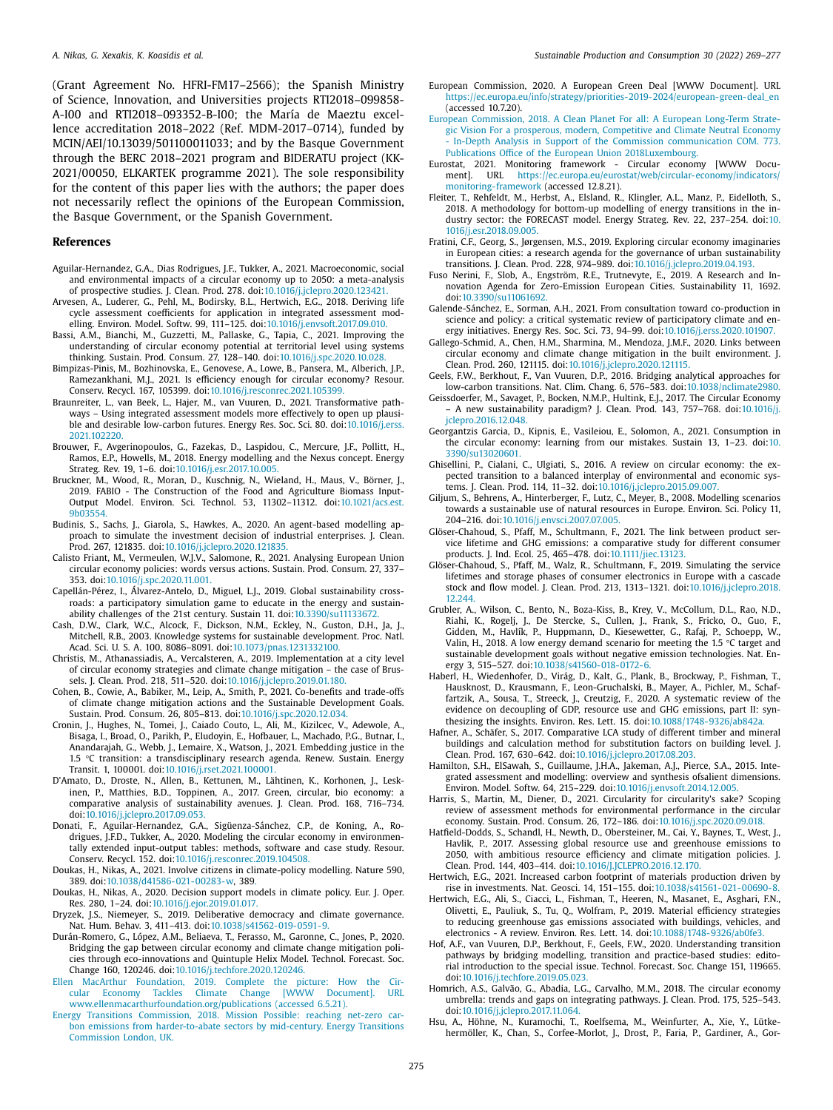<span id="page-6-0"></span>(Grant Agreement No. HFRI-FM17–2566); the Spanish Ministry of Science, Innovation, and Universities projects RTI2018–099858- A-I00 and RTI2018–093352-B-I00; the María de Maeztu excellence accreditation 2018–2022 (Ref. MDM-2017–0714), funded by MCIN/AEI/10.13039/501100011033; and by the Basque Government through the BERC 2018–2021 program and BIDERATU project (KK-2021/00050, ELKARTEK programme 2021). The sole responsibility for the content of this paper lies with the authors; the paper does not necessarily reflect the opinions of the European Commission, the Basque Government, or the Spanish Government.

#### **References**

- Aguilar-Hernandez, G.A., Dias Rodrigues, J.F., Tukker, A., 2021. Macroeconomic, social and environmental impacts of a circular economy up to 2050: a meta-analysis of prospective studies. J. Clean. Prod. 278. doi[:10.1016/j.jclepro.2020.123421.](https://doi.org/10.1016/j.jclepro.2020.123421)
- Arvesen, A., Luderer, G., Pehl, M., Bodirsky, B.L., Hertwich, E.G., 2018. Deriving life cycle assessment coefficients for application in integrated assessment modelling. Environ. Model. Softw. 99, 111–125. doi[:10.1016/j.envsoft.2017.09.010.](https://doi.org/10.1016/j.envsoft.2017.09.010)
- Bassi, A.M., Bianchi, M., Guzzetti, M., Pallaske, G., Tapia, C., 2021. Improving the understanding of circular economy potential at territorial level using systems thinking. Sustain. Prod. Consum. 27, 128–140. doi[:10.1016/j.spc.2020.10.028.](https://doi.org/10.1016/j.spc.2020.10.028)
- Bimpizas-Pinis, M., Bozhinovska, E., Genovese, A., Lowe, B., Pansera, M., Alberich, J.P., Ramezankhani, M.J., 2021. Is efficiency enough for circular economy? Resour. Conserv. Recycl. 167, 105399. doi[:10.1016/j.resconrec.2021.105399.](https://doi.org/10.1016/j.resconrec.2021.105399)
- Braunreiter, L., van Beek, L., Hajer, M., van Vuuren, D., 2021. Transformative pathways – Using integrated assessment models more effectively to open up plausible and desirable low-carbon futures. Energy Res. Soc. Sci. 80. [doi:10.1016/j.erss.](https://doi.org/10.1016/j.erss.2021.102220) 2021.102220.
- Brouwer, F., Avgerinopoulos, G., Fazekas, D., Laspidou, C., Mercure, J.F., Pollitt, H., Ramos, E.P., Howells, M., 2018. Energy modelling and the Nexus concept. Energy Strateg. Rev. 19, 1–6. doi[:10.1016/j.esr.2017.10.005.](https://doi.org/10.1016/j.esr.2017.10.005)
- Bruckner, M., Wood, R., Moran, D., Kuschnig, N., Wieland, H., Maus, V., Börner, J., 2019. FABIO - The Construction of the Food and Agriculture Biomass Input-Output Model. Environ. Sci. Technol. 53, 11302–11312. [doi:10.1021/acs.est.](https://doi.org/10.1021/acs.est.9b03554) 9b03554.
- Budinis, S., Sachs, J., Giarola, S., Hawkes, A., 2020. An agent-based modelling approach to simulate the investment decision of industrial enterprises. J. Clean. Prod. 267, 121835. doi[:10.1016/j.jclepro.2020.121835.](https://doi.org/10.1016/j.jclepro.2020.121835)
- Calisto Friant, M., Vermeulen, W.J.V., Salomone, R., 2021. Analysing European Union circular economy policies: words versus actions. Sustain. Prod. Consum. 27, 337– 353. doi[:10.1016/j.spc.2020.11.001.](https://doi.org/10.1016/j.spc.2020.11.001)
- Capellán-Pérez, I., Álvarez-Antelo, D., Miguel, L.J., 2019. Global sustainability crossroads: a participatory simulation game to educate in the energy and sustainability challenges of the 21st century. Sustain 11. doi[:10.3390/su11133672.](https://doi.org/10.3390/su11133672)
- Cash, D.W., Clark, W.C., Alcock, F., Dickson, N.M., Eckley, N., Guston, D.H., Ja, J. Mitchell, R.B., 2003. Knowledge systems for sustainable development. Proc. Natl. Acad. Sci. U. S. A. 100, 8086–8091. doi[:10.1073/pnas.1231332100.](https://doi.org/10.1073/pnas.1231332100)
- Christis, M., Athanassiadis, A., Vercalsteren, A., 2019. Implementation at a city level of circular economy strategies and climate change mitigation – the case of Brussels. J. Clean. Prod. 218, 511–520. doi[:10.1016/j.jclepro.2019.01.180.](https://doi.org/10.1016/j.jclepro.2019.01.180)
- Cohen, B., Cowie, A., Babiker, M., Leip, A., Smith, P., 2021. Co-benefits and trade-offs of climate change mitigation actions and the Sustainable Development Goals. Sustain. Prod. Consum. 26, 805–813. doi[:10.1016/j.spc.2020.12.034.](https://doi.org/10.1016/j.spc.2020.12.034)
- Cronin, J., Hughes, N., Tomei, J., Caiado Couto, L., Ali, M., Kizilcec, V., Adewole, A., Bisaga, I., Broad, O., Parikh, P., Eludoyin, E., Hofbauer, L., Machado, P.G., Butnar, I., Anandarajah, G., Webb, J., Lemaire, X., Watson, J., 2021. Embedding justice in the 1.5 °C transition: a transdisciplinary research agenda. Renew. Sustain. Energy Transit. 1, 100001. doi[:10.1016/j.rset.2021.100001.](https://doi.org/10.1016/j.rset.2021.100001)
- D'Amato, D., Droste, N., Allen, B., Kettunen, M., Lähtinen, K., Korhonen, J., Leskinen, P., Matthies, B.D., Toppinen, A., 2017. Green, circular, bio economy: a comparative analysis of sustainability avenues. J. Clean. Prod. 168, 716–734. doi[:10.1016/j.jclepro.2017.09.053.](https://doi.org/10.1016/j.jclepro.2017.09.053)
- Donati, F., Aguilar-Hernandez, G.A., Sigüenza-Sánchez, C.P., de Koning, A., Rodrigues, J.F.D., Tukker, A., 2020. Modeling the circular economy in environmentally extended input-output tables: methods, software and case study. Resour. Conserv. Recycl. 152. doi[:10.1016/j.resconrec.2019.104508.](https://doi.org/10.1016/j.resconrec.2019.104508)
- Doukas, H., Nikas, A., 2021. Involve citizens in climate-policy modelling. Nature 590, 389. doi[:10.1038/d41586-021-00283-w,](https://doi.org/10.1038/d41586-021-00283-w) 389.
- Doukas, H., Nikas, A., 2020. Decision support models in climate policy. Eur. J. Oper. Res. 280, 1–24. doi[:10.1016/j.ejor.2019.01.017.](https://doi.org/10.1016/j.ejor.2019.01.017)
- Dryzek, J.S., Niemeyer, S., 2019. Deliberative democracy and climate governance. Nat. Hum. Behav. 3, 411–413. doi[:10.1038/s41562-019-0591-9.](https://doi.org/10.1038/s41562-019-0591-9)
- Durán-Romero, G., López, A.M., Beliaeva, T., Ferasso, M., Garonne, C., Jones, P., 2020. Bridging the gap between circular economy and climate change mitigation policies through eco-innovations and Quintuple Helix Model. Technol. Forecast. Soc. Change 160, 120246. doi[:10.1016/j.techfore.2020.120246.](https://doi.org/10.1016/j.techfore.2020.120246)
- Ellen MacArthur Foundation, 2019. Complete the picture: How the Cir-Climate Change [WWW [www.ellenmacarthurfoundation.org/publications](http://refhub.elsevier.com/S2352-5509(21)00358-4/sbref0021) (accessed 6.5.21).
- vice lifetime and GHG emissions: a comparative study for different consumer
	- products. J. Ind. Ecol. 25, 465–478. doi[:10.1111/jiec.13123.](https://doi.org/10.1111/jiec.13123) Glöser-Chahoud, S., Pfaff, M., Walz, R., Schultmann, F., 2019. Simulating the service lifetimes and storage phases of consumer electronics in Europe with a cascade stock and flow model. J. Clean. Prod. 213, 1313–1321. [doi:10.1016/j.jclepro.2018.](https://doi.org/10.1016/j.jclepro.2018.12.244)
		- 12.244. Grubler, A., Wilson, C., Bento, N., Boza-Kiss, B., Krey, V., McCollum, D.L., Rao, N.D., Riahi, K., Rogelj, J., De Stercke, S., Cullen, J., Frank, S., Fricko, O., Guo, F., Gidden, M., Havlík, P., Huppmann, D., Kiesewetter, G., Rafaj, P., Schoepp, W., Valin, H., 2018. A low energy demand scenario for meeting the 1.5 °C target and sustainable development goals without negative emission technologies. Nat. Energy 3, 515–527. doi[:10.1038/s41560-018-0172-6.](https://doi.org/10.1038/s41560-018-0172-6)
		- Haberl, H., Wiedenhofer, D., Virág, D., Kalt, G., Plank, B., Brockway, P., Fishman, T., Hausknost, D., Krausmann, F., Leon-Gruchalski, B., Mayer, A., Pichler, M., Schaffartzik, A., Sousa, T., Streeck, J., Creutzig, F., 2020. A systematic review of the evidence on decoupling of GDP, resource use and GHG emissions, part II: synthesizing the insights. Environ. Res. Lett. 15. doi[:10.1088/1748-9326/ab842a.](https://doi.org/10.1088/1748-9326/ab842a)
		- Hafner, A., Schäfer, S., 2017. Comparative LCA study of different timber and mineral buildings and calculation method for substitution factors on building level. J. Clean. Prod. 167, 630–642. doi[:10.1016/j.jclepro.2017.08.203.](https://doi.org/10.1016/j.jclepro.2017.08.203)
		- Hamilton, S.H., ElSawah, S., Guillaume, J.H.A., Jakeman, A.J., Pierce, S.A., 2015. Integrated assessment and modelling: overview and synthesis ofsalient dimensions. Environ. Model. Softw. 64, 215–229. doi[:10.1016/j.envsoft.2014.12.005.](https://doi.org/10.1016/j.envsoft.2014.12.005)
		- Harris, S., Martin, M., Diener, D., 2021. Circularity for circularity's sake? Scoping review of assessment methods for environmental performance in the circular economy. Sustain. Prod. Consum. 26, 172–186. doi[:10.1016/j.spc.2020.09.018.](https://doi.org/10.1016/j.spc.2020.09.018)
		- Hatfield-Dodds, S., Schandl, H., Newth, D., Obersteiner, M., Cai, Y., Baynes, T., West, J., Havlik, P., 2017. Assessing global resource use and greenhouse emissions to 2050, with ambitious resource efficiency and climate mitigation policies. J. Clean. Prod. 144, 403–414. doi[:10.1016/J.JCLEPRO.2016.12.170.](https://doi.org/10.1016/J.JCLEPRO.2016.12.170)
		- Hertwich, E.G., 2021. Increased carbon footprint of materials production driven by rise in investments. Nat. Geosci. 14, 151–155. doi[:10.1038/s41561-021-00690-8.](https://doi.org/10.1038/s41561-021-00690-8)
		- Hertwich, E.G., Ali, S., Ciacci, L., Fishman, T., Heeren, N., Masanet, E., Asghari, F.N., Olivetti, E., Pauliuk, S., Tu, Q., Wolfram, P., 2019. Material efficiency strategies to reducing greenhouse gas emissions associated with buildings, vehicles, and electronics - A review. Environ. Res. Lett. 14. doi[:10.1088/1748-9326/ab0fe3.](https://doi.org/10.1088/1748-9326/ab0fe3)
		- Hof, A.F., van Vuuren, D.P., Berkhout, F., Geels, F.W., 2020. Understanding transition pathways by bridging modelling, transition and practice-based studies: editorial introduction to the special issue. Technol. Forecast. Soc. Change 151, 119665. doi[:10.1016/j.techfore.2019.05.023.](https://doi.org/10.1016/j.techfore.2019.05.023)
		- Homrich, A.S., Galvão, G., Abadia, L.G., Carvalho, M.M., 2018. The circular economy umbrella: trends and gaps on integrating pathways. J. Clean. Prod. 175, 525–543. doi[:10.1016/j.jclepro.2017.11.064.](https://doi.org/10.1016/j.jclepro.2017.11.064)
- Energy Transitions Commission, 2018. Mission Possible: reaching net-zero carbon emissions from [harder-to-abate](http://refhub.elsevier.com/S2352-5509(21)00358-4/sbref0022) sectors by mid-century. Energy Transitions Commission London, UK.
- European Commission, 2020. A European Green Deal [WWW Document]. URL [https://ec.europa.eu/info/strategy/priorities-2019-2024/european-green-deal\\_en](https://ec.europa.eu/info/strategy/priorities-2019-2024/european-green-deal_en)  $(\text{arcessed } 10.720)$
- European Commission, 2018. A Clean Planet For all: A European Long-Term Strategic Vision For a prosperous, modern, Competitive and Climate Neutral Economy - In-Depth Analysis in Support of the Commission communication COM. 773. Publications Office of the European Union [2018Luxembourg.](http://refhub.elsevier.com/S2352-5509(21)00358-4/sbref0024)
- Eurostat, 2021. Monitoring framework Circular economy [WWW Document]. URL [https://ec.europa.eu/eurostat/web/circular-economy/indicators/](https://ec.europa.eu/eurostat/web/circular-economy/indicators/monitoring-framework) monitoring-framework (accessed 12.8.21).
- Fleiter, T., Rehfeldt, M., Herbst, A., Elsland, R., Klingler, A.L., Manz, P., Eidelloth, S., 2018. A methodology for bottom-up modelling of energy transitions in the industry sector: the FORECAST model. Energy Strateg. Rev. 22, 237–254. doi:10. [1016/j.esr.2018.09.005.](https://doi.org/10.1016/j.esr.2018.09.005)
- Fratini, C.F., Georg, S., Jørgensen, M.S., 2019. Exploring circular economy imaginaries in European cities: a research agenda for the governance of urban sustainability transitions. J. Clean. Prod. 228, 974–989. doi[:10.1016/j.jclepro.2019.04.193.](https://doi.org/10.1016/j.jclepro.2019.04.193)
- Fuso Nerini, F., Slob, A., Engström, R.E., Trutnevyte, E., 2019. A Research and Innovation Agenda for Zero-Emission European Cities. Sustainability 11, 1692. doi[:10.3390/su11061692.](https://doi.org/10.3390/su11061692)
- Galende-Sánchez, E., Sorman, A.H., 2021. From consultation toward co-production in science and policy: a critical systematic review of participatory climate and energy initiatives. Energy Res. Soc. Sci. 73, 94–99. doi[:10.1016/j.erss.2020.101907.](https://doi.org/10.1016/j.erss.2020.101907)
- Gallego-Schmid, A., Chen, H.M., Sharmina, M., Mendoza, J.M.F., 2020. Links between circular economy and climate change mitigation in the built environment. J. Clean. Prod. 260, 121115. doi[:10.1016/j.jclepro.2020.121115.](https://doi.org/10.1016/j.jclepro.2020.121115)
- Geels, F.W., Berkhout, F., Van Vuuren, D.P., 2016. Bridging analytical approaches for low-carbon transitions. Nat. Clim. Chang. 6, 576–583. doi[:10.1038/nclimate2980.](https://doi.org/10.1038/nclimate2980)
- Geissdoerfer, M., Savaget, P., Bocken, N.M.P., Hultink, E.J., 2017. The Circular Economy – A new sustainability paradigm? J. Clean. Prod. 143, 757–768. doi:10.1016/j. [jclepro.2016.12.048.](https://doi.org/10.1016/j.jclepro.2016.12.048)
- Georgantzis Garcia, D., Kipnis, E., Vasileiou, E., Solomon, A., 2021. Consumption in the circular economy: learning from our mistakes. Sustain 13, 1–23. doi:10. [3390/su13020601.](https://doi.org/10.3390/su13020601)
- Ghisellini, P., Cialani, C., Ulgiati, S., 2016. A review on circular economy: the expected transition to a balanced interplay of environmental and economic systems. J. Clean. Prod. 114, 11–32. doi[:10.1016/j.jclepro.2015.09.007.](https://doi.org/10.1016/j.jclepro.2015.09.007)
- Giljum, S., Behrens, A., Hinterberger, F., Lutz, C., Meyer, B., 2008. Modelling scenarios towards a sustainable use of natural resources in Europe. Environ. Sci. Policy 11, 204–216. doi[:10.1016/j.envsci.2007.07.005.](https://doi.org/10.1016/j.envsci.2007.07.005) Glöser-Chahoud, S., Pfaff, M., Schultmann, F., 2021. The link between product ser-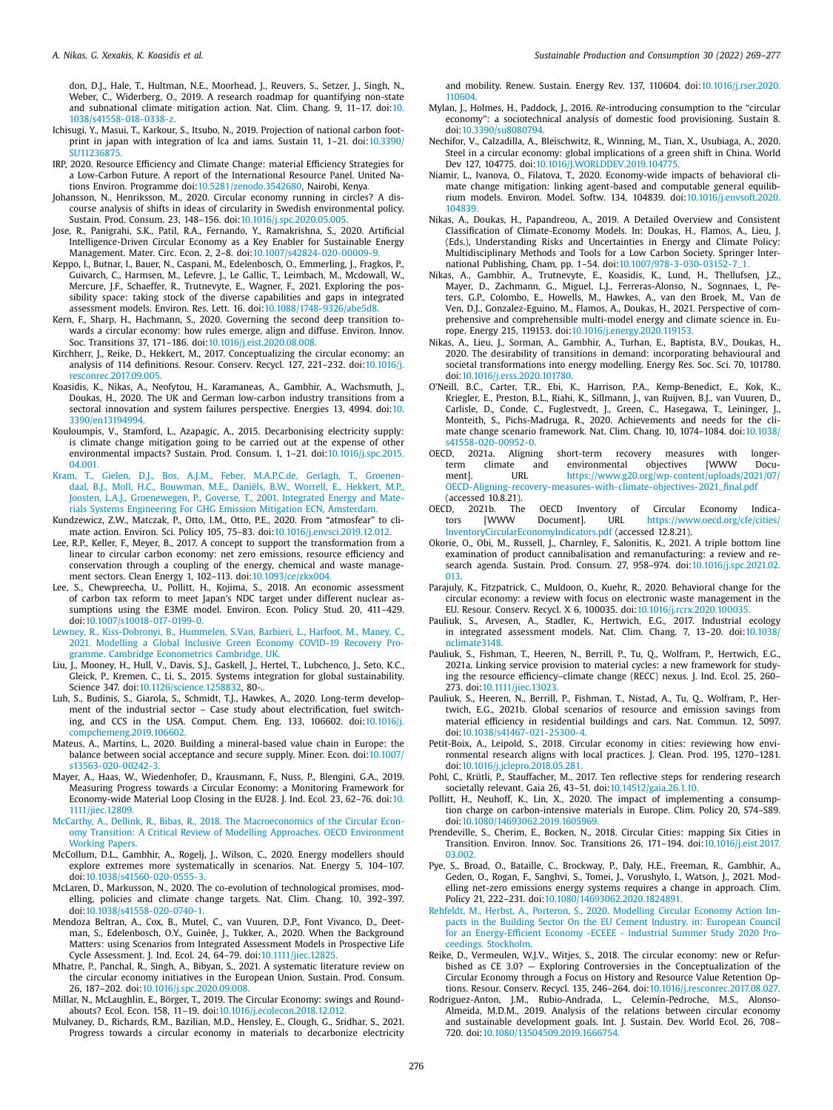<span id="page-7-0"></span>don, D.J., Hale, T., Hultman, N.E., Moorhead, J., Reuvers, S., Setzer, J., Singh, N., Weber, C., Widerberg, O., 2019. A research roadmap for quantifying non-state and subnational climate mitigation action. Nat. Clim. Chang. 9, 11–17. doi:10. [1038/s41558-018-0338-z.](https://doi.org/10.1038/s41558-018-0338-z)

- Ichisugi, Y., Masui, T., Karkour, S., Itsubo, N., 2019. Projection of national carbon footprint in japan with integration of lca and iams. Sustain 11, 1–21. doi:10.3390/ [SU11236875.](https://doi.org/10.3390/SU11236875)
- IRP, 2020. Resource Efficiency and Climate Change: material Efficiency Strategies for a Low-Carbon Future. A report of the International Resource Panel. United Nations Environ. Programme doi:10.5281/zenodo.3542680. Nairobi, Kenya.
- Johansson, N., Henriksson, M., 2020. Circular economy running in circles? A discourse analysis of shifts in ideas of circularity in Swedish environmental policy. Sustain. Prod. Consum. 23, 148–156. doi[:10.1016/j.spc.2020.05.005.](https://doi.org/10.1016/j.spc.2020.05.005)
- Jose, R., Panigrahi, S.K., Patil, R.A., Fernando, Y., Ramakrishna, S., 2020. Artificial Intelligence-Driven Circular Economy as a Key Enabler for Sustainable Energy Management. Mater. Circ. Econ. 2, 2–8. doi[:10.1007/s42824-020-00009-9.](https://doi.org/10.1007/s42824-020-00009-9)
- Keppo, I., Butnar, I., Bauer, N., Caspani, M., Edelenbosch, O., Emmerling, J., Fragkos, P., Guivarch, C., Harmsen, M., Lefevre, J., Le Gallic, T., Leimbach, M., Mcdowall, W., Mercure, J.F., Schaeffer, R., Trutnevyte, E., Wagner, F., 2021. Exploring the possibility space: taking stock of the diverse capabilities and gaps in integrated assessment models. Environ. Res. Lett. 16. doi[:10.1088/1748-9326/abe5d8.](https://doi.org/10.1088/1748-9326/abe5d8)
- Kern, F., Sharp, H., Hachmann, S., 2020. Governing the second deep transition towards a circular economy: how rules emerge, align and diffuse. Environ. Innov. Soc. Transitions 37, 171–186. doi[:10.1016/j.eist.2020.08.008.](https://doi.org/10.1016/j.eist.2020.08.008)
- Kirchherr, J., Reike, D., Hekkert, M., 2017. Conceptualizing the circular economy: an analysis of 114 definitions. Resour. Conserv. Recycl. 127, 221–232. doi:10.1016/j. [resconrec.2017.09.005.](https://doi.org/10.1016/j.resconrec.2017.09.005)
- Koasidis, K., Nikas, A., Neofytou, H., Karamaneas, A., Gambhir, A., Wachsmuth, J., Doukas, H., 2020. The UK and German low-carbon industry transitions from a sectoral innovation and system failures perspective. Energies 13, 4994. doi:10. [3390/en13194994.](https://doi.org/10.3390/en13194994)
- Kouloumpis, V., Stamford, L., Azapagic, A., 2015. Decarbonising electricity supply: is climate change mitigation going to be carried out at the expense of other environmental impacts? Sustain. Prod. Consum. 1, 1–21. [doi:10.1016/j.spc.2015.](https://doi.org/10.1016/j.spc.2015.04.001) 04.001.
- [Kram,](http://refhub.elsevier.com/S2352-5509(21)00358-4/sbref0058) T., [Gielen,](http://refhub.elsevier.com/S2352-5509(21)00358-4/sbref0058) D.J., Bos, [A.J.M.,](http://refhub.elsevier.com/S2352-5509(21)00358-4/sbref0058) Feber, [M.A.P.C.de,](http://refhub.elsevier.com/S2352-5509(21)00358-4/sbref0058) [Gerlagh,](http://refhub.elsevier.com/S2352-5509(21)00358-4/sbref0058) T., Groenendaal, B.J., [Moll,](http://refhub.elsevier.com/S2352-5509(21)00358-4/sbref0058) H.C., [Bouwman,](http://refhub.elsevier.com/S2352-5509(21)00358-4/sbref0058) M.E., [Daniëls,](http://refhub.elsevier.com/S2352-5509(21)00358-4/sbref0058) B.W., [Worrell,](http://refhub.elsevier.com/S2352-5509(21)00358-4/sbref0058) E., [Hekkert,](http://refhub.elsevier.com/S2352-5509(21)00358-4/sbref0058) M.P., [Joosten,](http://refhub.elsevier.com/S2352-5509(21)00358-4/sbref0058) L.A.J., [Groenewegen,](http://refhub.elsevier.com/S2352-5509(21)00358-4/sbref0058) P., [Goverse,](http://refhub.elsevier.com/S2352-5509(21)00358-4/sbref0058) T., 2001. Integrated Energy and Materials Systems Engineering For GHG Emission Mitigation ECN, Amsterdam.
- Kundzewicz, Z.W., Matczak, P., Otto, I.M., Otto, P.E., 2020. From "atmosfear" to climate action. Environ. Sci. Policy 105, 75–83. doi[:10.1016/j.envsci.2019.12.012.](https://doi.org/10.1016/j.envsci.2019.12.012)
- Lee, R.P., Keller, F., Meyer, B., 2017. A concept to support the transformation from a linear to circular carbon economy: net zero emissions, resource efficiency and conservation through a coupling of the energy, chemical and waste management sectors. Clean Energy 1, 102–113. doi[:10.1093/ce/zkx004.](https://doi.org/10.1093/ce/zkx004)
- Lee, S., Chewpreecha, U., Pollitt, H., Kojima, S., 2018. An economic assessment of carbon tax reform to meet Japan's NDC target under different nuclear assumptions using the E3ME model. Environ. Econ. Policy Stud. 20, 411–429. doi[:10.1007/s10018-017-0199-0.](https://doi.org/10.1007/s10018-017-0199-0)
- [Lewney,](http://refhub.elsevier.com/S2352-5509(21)00358-4/sbref0062) R., [Kiss-Dobronyi,](http://refhub.elsevier.com/S2352-5509(21)00358-4/sbref0062) B., [Hummelen,](http://refhub.elsevier.com/S2352-5509(21)00358-4/sbref0062) S.Van, [Barbieri,](http://refhub.elsevier.com/S2352-5509(21)00358-4/sbref0062) L., [Harfoot,](http://refhub.elsevier.com/S2352-5509(21)00358-4/sbref0062) M., [Maney,](http://refhub.elsevier.com/S2352-5509(21)00358-4/sbref0062) C., 2021. Modelling a Global Inclusive Green Economy COVID-19 Recovery Programme. Cambridge Econometrics Cambridge, UK.
- Liu, J., Mooney, H., Hull, V., Davis, S.J., Gaskell, J., Hertel, T., Lubchenco, J., Seto, K.C., Gleick, P., Kremen, C., Li, S., 2015. Systems integration for global sustainability. Science 347. doi[:10.1126/science.1258832,](https://doi.org/10.1126/science.1258832) 80-..
- Luh, S., Budinis, S., Giarola, S., Schmidt, T.J., Hawkes, A., 2020. Long-term development of the industrial sector – Case study about electrification, fuel switching, and CCS in the USA. Comput. Chem. Eng. 133, 106602. doi:10.1016/j. [compchemeng.2019.106602.](https://doi.org/10.1016/j.compchemeng.2019.106602)
- Mateus, A., Martins, L., 2020. Building a mineral-based value chain in Europe: the balance between social acceptance and secure supply. Miner. Econ. doi:10.1007/ [s13563-020-00242-3.](https://doi.org/10.1007/s13563-020-00242-3)
- Mayer, A., Haas, W., Wiedenhofer, D., Krausmann, F., Nuss, P., Blengini, G.A., 2019. Measuring Progress towards a Circular Economy: a Monitoring Framework for Economy-wide Material Loop Closing in the EU28. J. Ind. Ecol. 23, 62–76. doi:10. [1111/jiec.12809.](https://doi.org/10.1111/jiec.12809)
- [McCarthy,](http://refhub.elsevier.com/S2352-5509(21)00358-4/sbref0067) A., [Dellink,](http://refhub.elsevier.com/S2352-5509(21)00358-4/sbref0067) R., [Bibas,](http://refhub.elsevier.com/S2352-5509(21)00358-4/sbref0067) R., 2018. The [Macroeconomics](http://refhub.elsevier.com/S2352-5509(21)00358-4/sbref0067) of the Circular Economy Transition: A Critical Review of Modelling Approaches. OECD Environment Working Papers.
- McCollum, D.L., Gambhir, A., Rogelj, J., Wilson, C., 2020. Energy modellers should explore extremes more systematically in scenarios. Nat. Energy 5, 104–107. doi[:10.1038/s41560-020-0555-3.](https://doi.org/10.1038/s41560-020-0555-3)
- McLaren, D., Markusson, N., 2020. The co-evolution of technological promises, modelling, policies and climate change targets. Nat. Clim. Chang. 10, 392–397. doi[:10.1038/s41558-020-0740-1.](https://doi.org/10.1038/s41558-020-0740-1)
- Mendoza Beltran, A., Cox, B., Mutel, C., van Vuuren, D.P., Font Vivanco, D., Deetman, S., Edelenbosch, O.Y., Guinée, J., Tukker, A., 2020. When the Background Matters: using Scenarios from Integrated Assessment Models in Prospective Life Cycle Assessment. J. Ind. Ecol. 24, 64–79. doi[:10.1111/jiec.12825.](https://doi.org/10.1111/jiec.12825)
- Mhatre, P., Panchal, R., Singh, A., Bibyan, S., 2021. A systematic literature review on the circular economy initiatives in the European Union. Sustain. Prod. Consum. 26, 187–202. doi[:10.1016/j.spc.2020.09.008.](https://doi.org/10.1016/j.spc.2020.09.008)
- Millar, N., McLaughlin, E., Börger, T., 2019. The Circular Economy: swings and Roundabouts? Ecol. Econ. 158, 11–19. doi[:10.1016/j.ecolecon.2018.12.012.](https://doi.org/10.1016/j.ecolecon.2018.12.012)
- Mulvaney, D., Richards, R.M., Bazilian, M.D., Hensley, E., Clough, G., Sridhar, S., 2021. Progress towards a circular economy in materials to decarbonize electricity

and mobility. Renew. Sustain. Energy Rev. 137, 110604. [doi:10.1016/j.rser.2020.](https://doi.org/10.1016/j.rser.2020.110604) 110604.

- Mylan, J., Holmes, H., Paddock, J., 2016. *Re*-introducing consumption to the "circular economy": a sociotechnical analysis of domestic food provisioning. Sustain 8. doi[:10.3390/su8080794.](https://doi.org/10.3390/su8080794)
- Nechifor, V., Calzadilla, A., Bleischwitz, R., Winning, M., Tian, X., Usubiaga, A., 2020. Steel in a circular economy: global implications of a green shift in China. World Dev 127, 104775. doi[:10.1016/J.WORLDDEV.2019.104775.](https://doi.org/10.1016/J.WORLDDEV.2019.104775)
- Niamir, L., Ivanova, O., Filatova, T., 2020. Economy-wide impacts of behavioral climate change mitigation: linking agent-based and computable general equilibrium models. Environ. Model. Softw. 134, 104839. [doi:10.1016/j.envsoft.2020.](https://doi.org/10.1016/j.envsoft.2020.104839) 104839.
- Nikas, A., Doukas, H., Papandreou, A., 2019. A Detailed Overview and Consistent Classification of Climate-Economy Models. In: Doukas, H., Flamos, A., Lieu, J. (Eds.), Understanding Risks and Uncertainties in Energy and Climate Policy: Multidisciplinary Methods and Tools for a Low Carbon Society. Springer International Publishing, Cham, pp. 1–54. doi[:10.1007/978-3-030-03152-7\\_1.](https://doi.org/10.1007/978-3-030-03152-7_1)
- Nikas, A., Gambhir, A., Trutnevyte, E., Koasidis, K., Lund, H., Thellufsen, J.Z., Mayer, D., Zachmann, G., Miguel, L.J., Ferreras-Alonso, N., Sognnaes, I., Peters, G.P., Colombo, E., Howells, M., Hawkes, A., van den Broek, M., Van de Ven, D.J., Gonzalez-Eguino, M., Flamos, A., Doukas, H., 2021. Perspective of comprehensive and comprehensible multi-model energy and climate science in. Europe. Energy 215, 119153. doi[:10.1016/j.energy.2020.119153.](https://doi.org/10.1016/j.energy.2020.119153)
- Nikas, A., Lieu, J., Sorman, A., Gambhir, A., Turhan, E., Baptista, B.V., Doukas, H., 2020. The desirability of transitions in demand: incorporating behavioural and societal transformations into energy modelling. Energy Res. Soc. Sci. 70, 101780. doi[:10.1016/j.erss.2020.101780.](https://doi.org/10.1016/j.erss.2020.101780)
- O'Neill, B.C., Carter, T.R., Ebi, K., Harrison, P.A., Kemp-Benedict, E., Kok, K., Kriegler, E., Preston, B.L., Riahi, K., Sillmann, J., van Ruijven, B.J., van Vuuren, D., Carlisle, D., Conde, C., Fuglestvedt, J., Green, C., Hasegawa, T., Leininger, J., Monteith, S., Pichs-Madruga, R., 2020. Achievements and needs for the climate change scenario framework. Nat. Clim. Chang. 10, 1074–1084. doi:10.1038/ [s41558-020-00952-0.](https://doi.org/10.1038/s41558-020-00952-0)<br>OECD, 2021a. Aligning
- short-term recovery measures with longerterm climate and environmental objectives [WWW Docu-<br>ment] URL https://www.g20.org/wn-content/uploads/2021/07/ ment]. URL https://www.g20.org/wp-content/uploads/2021/07/ [OECD-Aligning-recovery-measures-with-climate-objectives-2021\\_final.pdf](https://www.g20.org/wp-content/uploads/2021/07/OECD-Aligning-recovery-measures-with-climate-objectives-2021_final.pdf)
- (accessed 10.8.21).<br>OECD, 2021b. The 21b. The OECD Inventory of Circular Economy Indica-<br>[WWW Document]. URL https://www.oecd.org/cfe/cities/ tors [WWW Document]. URL https://www.oecd.org/cfe/cities/ [InventoryCircularEconomyIndicators.pdf](https://www.oecd.org/cfe/cities/InventoryCircularEconomyIndicators.pdf) (accessed 12.8.21).
- Okorie, O., Obi, M., Russell, J., Charnley, F., Salonitis, K., 2021. A triple bottom line examination of product cannibalisation and remanufacturing: a review and research agenda. Sustain. Prod. Consum. 27, 958–974. [doi:10.1016/j.spc.2021.02.](https://doi.org/10.1016/j.spc.2021.02.013) 013.
- Parajuly, K., Fitzpatrick, C., Muldoon, O., Kuehr, R., 2020. Behavioral change for the circular economy: a review with focus on electronic waste management in the EU. Resour. Conserv. Recycl. X 6, 100035. doi[:10.1016/j.rcrx.2020.100035.](https://doi.org/10.1016/j.rcrx.2020.100035)
- Pauliuk, S., Arvesen, A., Stadler, K., Hertwich, E.G., 2017. Industrial ecology in integrated assessment models. Nat. Clim. Chang. 7, 13-20. doi:10.1038/ [nclimate3148.](https://doi.org/10.1038/nclimate3148)
- Pauliuk, S., Fishman, T., Heeren, N., Berrill, P., Tu, Q., Wolfram, P., Hertwich, E.G., 2021a. Linking service provision to material cycles: a new framework for studying the resource efficiency–climate change (RECC) nexus. J. Ind. Ecol. 25, 260– 273. doi[:10.1111/jiec.13023.](https://doi.org/10.1111/jiec.13023)
- Pauliuk, S., Heeren, N., Berrill, P., Fishman, T., Nistad, A., Tu, Q., Wolfram, P., Hertwich, E.G., 2021b. Global scenarios of resource and emission savings from material efficiency in residential buildings and cars. Nat. Commun. 12, 5097. doi[:10.1038/s41467-021-25300-4.](https://doi.org/10.1038/s41467-021-25300-4)
- Petit-Boix, A., Leipold, S., 2018. Circular economy in cities: reviewing how environmental research aligns with local practices. J. Clean. Prod. 195, 1270–1281. doi[:10.1016/j.jclepro.2018.05.281.](https://doi.org/10.1016/j.jclepro.2018.05.281)
- Pohl, C., Krütli, P., Stauffacher, M., 2017. Ten reflective steps for rendering research societally relevant. Gaia 26, 43–51. doi[:10.14512/gaia.26.1.10.](https://doi.org/10.14512/gaia.26.1.10)
- Pollitt, H., Neuhoff, K., Lin, X., 2020. The impact of implementing a consumption charge on carbon-intensive materials in Europe. Clim. Policy 20, S74–S89. doi[:10.1080/14693062.2019.1605969.](https://doi.org/10.1080/14693062.2019.1605969)
- Prendeville, S., Cherim, E., Bocken, N., 2018. Circular Cities: mapping Six Cities in Transition. Environ. Innov. Soc. Transitions 26, 171–194. [doi:10.1016/j.eist.2017.](https://doi.org/10.1016/j.eist.2017.03.002) 03.002.
- Pye, S., Broad, O., Bataille, C., Brockway, P., Daly, H.E., Freeman, R., Gambhir, A., Geden, O., Rogan, F., Sanghvi, S., Tomei, J., Vorushylo, I., Watson, J., 2021. Modelling net-zero emissions energy systems requires a change in approach. Clim. Policy 21, 222–231. doi[:10.1080/14693062.2020.1824891.](https://doi.org/10.1080/14693062.2020.1824891)
- [Rehfeldt,](http://refhub.elsevier.com/S2352-5509(21)00358-4/sbref0093) M., [Herbst,](http://refhub.elsevier.com/S2352-5509(21)00358-4/sbref0093) A., [Porteron,](http://refhub.elsevier.com/S2352-5509(21)00358-4/sbref0093) S., 2020. Modelling Circular Economy Action Impacts in the Building Sector On the EU Cement Industry. in: European Council for an [Energy-Efficient](http://refhub.elsevier.com/S2352-5509(21)00358-4/sbref0093) Economy -ECEEE - Industrial Summer Study 2020 Proceedings. Stockholm.
- Reike, D., Vermeulen, W.J.V., Witjes, S., 2018. The circular economy: new or Refurbished as CE 3.0? — Exploring Controversies in the Conceptualization of the Circular Economy through a Focus on History and Resource Value Retention Options. Resour. Conserv. Recycl. 135, 246–264. doi[:10.1016/j.resconrec.2017.08.027.](https://doi.org/10.1016/j.resconrec.2017.08.027)
- Rodriguez-Anton, J.M., Rubio-Andrada, L., Celemín-Pedroche, M.S., Alonso-Almeida, M.D.M., 2019. Analysis of the relations between circular economy and sustainable development goals. Int. J. Sustain. Dev. World Ecol. 26, 708– 720. doi[:10.1080/13504509.2019.1666754.](https://doi.org/10.1080/13504509.2019.1666754)